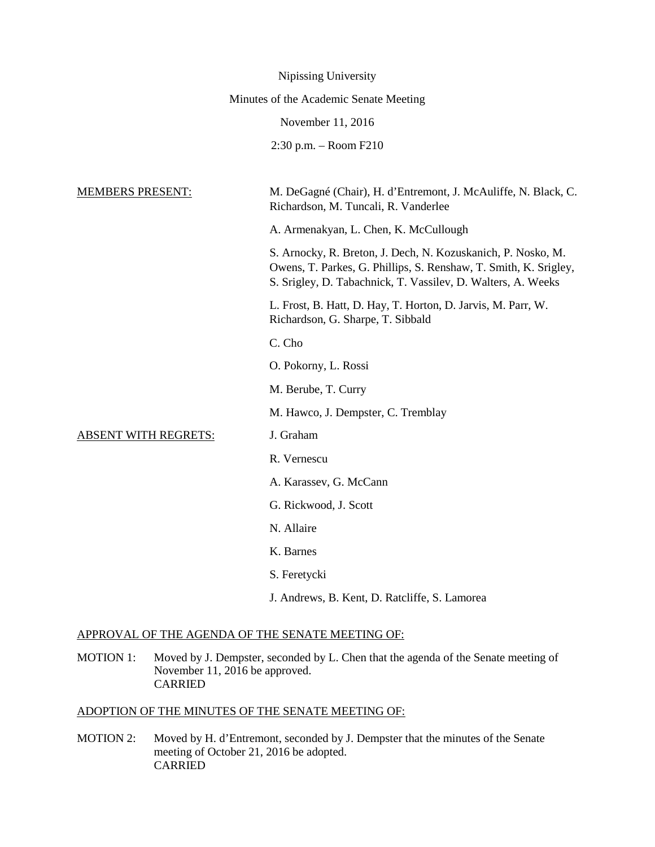|                                        | Nipissing University                                                                                                                                                                             |
|----------------------------------------|--------------------------------------------------------------------------------------------------------------------------------------------------------------------------------------------------|
| Minutes of the Academic Senate Meeting |                                                                                                                                                                                                  |
|                                        | November 11, 2016                                                                                                                                                                                |
|                                        | $2:30$ p.m. $-$ Room $F210$                                                                                                                                                                      |
|                                        |                                                                                                                                                                                                  |
| <b>MEMBERS PRESENT:</b>                | M. DeGagné (Chair), H. d'Entremont, J. McAuliffe, N. Black, C.<br>Richardson, M. Tuncali, R. Vanderlee                                                                                           |
|                                        | A. Armenakyan, L. Chen, K. McCullough                                                                                                                                                            |
|                                        | S. Arnocky, R. Breton, J. Dech, N. Kozuskanich, P. Nosko, M.<br>Owens, T. Parkes, G. Phillips, S. Renshaw, T. Smith, K. Srigley,<br>S. Srigley, D. Tabachnick, T. Vassilev, D. Walters, A. Weeks |
|                                        | L. Frost, B. Hatt, D. Hay, T. Horton, D. Jarvis, M. Parr, W.<br>Richardson, G. Sharpe, T. Sibbald                                                                                                |
|                                        | C. Cho                                                                                                                                                                                           |
|                                        | O. Pokorny, L. Rossi                                                                                                                                                                             |
|                                        | M. Berube, T. Curry                                                                                                                                                                              |
|                                        | M. Hawco, J. Dempster, C. Tremblay                                                                                                                                                               |
| <b>ABSENT WITH REGRETS:</b>            | J. Graham                                                                                                                                                                                        |
|                                        | R. Vernescu                                                                                                                                                                                      |
|                                        | A. Karassev, G. McCann                                                                                                                                                                           |
|                                        | G. Rickwood, J. Scott                                                                                                                                                                            |
|                                        | N. Allaire                                                                                                                                                                                       |
|                                        | K. Barnes                                                                                                                                                                                        |
|                                        | S. Feretycki                                                                                                                                                                                     |
|                                        | J. Andrews, B. Kent, D. Ratcliffe, S. Lamorea                                                                                                                                                    |

## APPROVAL OF THE AGENDA OF THE SENATE MEETING OF:

MOTION 1: Moved by J. Dempster, seconded by L. Chen that the agenda of the Senate meeting of November 11, 2016 be approved. CARRIED

## ADOPTION OF THE MINUTES OF THE SENATE MEETING OF:

MOTION 2: Moved by H. d'Entremont, seconded by J. Dempster that the minutes of the Senate meeting of October 21, 2016 be adopted. CARRIED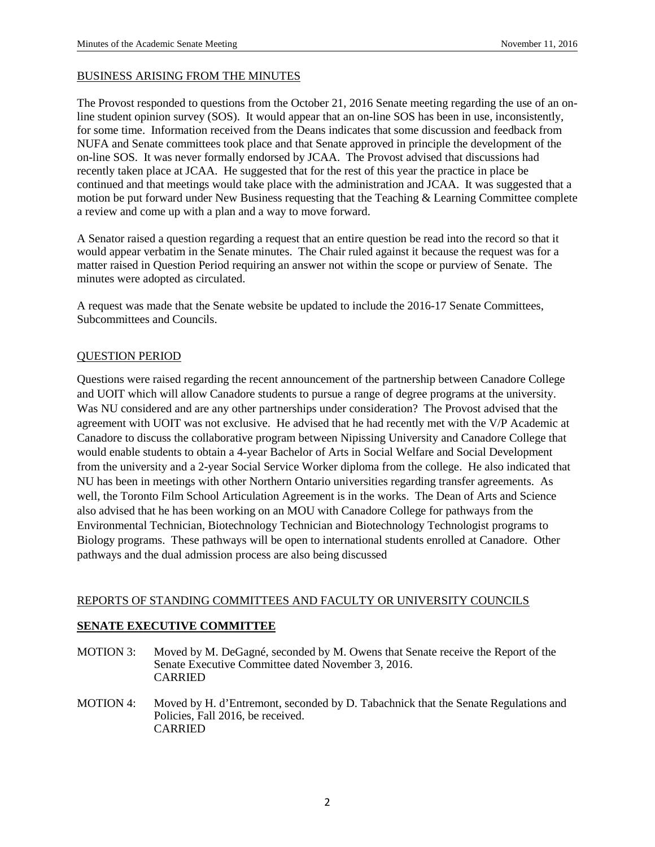### BUSINESS ARISING FROM THE MINUTES

The Provost responded to questions from the October 21, 2016 Senate meeting regarding the use of an online student opinion survey (SOS). It would appear that an on-line SOS has been in use, inconsistently, for some time. Information received from the Deans indicates that some discussion and feedback from NUFA and Senate committees took place and that Senate approved in principle the development of the on-line SOS. It was never formally endorsed by JCAA. The Provost advised that discussions had recently taken place at JCAA. He suggested that for the rest of this year the practice in place be continued and that meetings would take place with the administration and JCAA. It was suggested that a motion be put forward under New Business requesting that the Teaching & Learning Committee complete a review and come up with a plan and a way to move forward.

A Senator raised a question regarding a request that an entire question be read into the record so that it would appear verbatim in the Senate minutes. The Chair ruled against it because the request was for a matter raised in Question Period requiring an answer not within the scope or purview of Senate. The minutes were adopted as circulated.

A request was made that the Senate website be updated to include the 2016-17 Senate Committees, Subcommittees and Councils.

### QUESTION PERIOD

Questions were raised regarding the recent announcement of the partnership between Canadore College and UOIT which will allow Canadore students to pursue a range of degree programs at the university. Was NU considered and are any other partnerships under consideration? The Provost advised that the agreement with UOIT was not exclusive. He advised that he had recently met with the V/P Academic at Canadore to discuss the collaborative program between Nipissing University and Canadore College that would enable students to obtain a 4-year Bachelor of Arts in Social Welfare and Social Development from the university and a 2-year Social Service Worker diploma from the college. He also indicated that NU has been in meetings with other Northern Ontario universities regarding transfer agreements. As well, the Toronto Film School Articulation Agreement is in the works. The Dean of Arts and Science also advised that he has been working on an MOU with Canadore College for pathways from the Environmental Technician, Biotechnology Technician and Biotechnology Technologist programs to Biology programs. These pathways will be open to international students enrolled at Canadore. Other pathways and the dual admission process are also being discussed

#### REPORTS OF STANDING COMMITTEES AND FACULTY OR UNIVERSITY COUNCILS

## **SENATE EXECUTIVE COMMITTEE**

- MOTION 3: Moved by M. DeGagné, seconded by M. Owens that Senate receive the Report of the Senate Executive Committee dated November 3, 2016. CARRIED
- MOTION 4: Moved by H. d'Entremont, seconded by D. Tabachnick that the Senate Regulations and Policies, Fall 2016, be received. CARRIED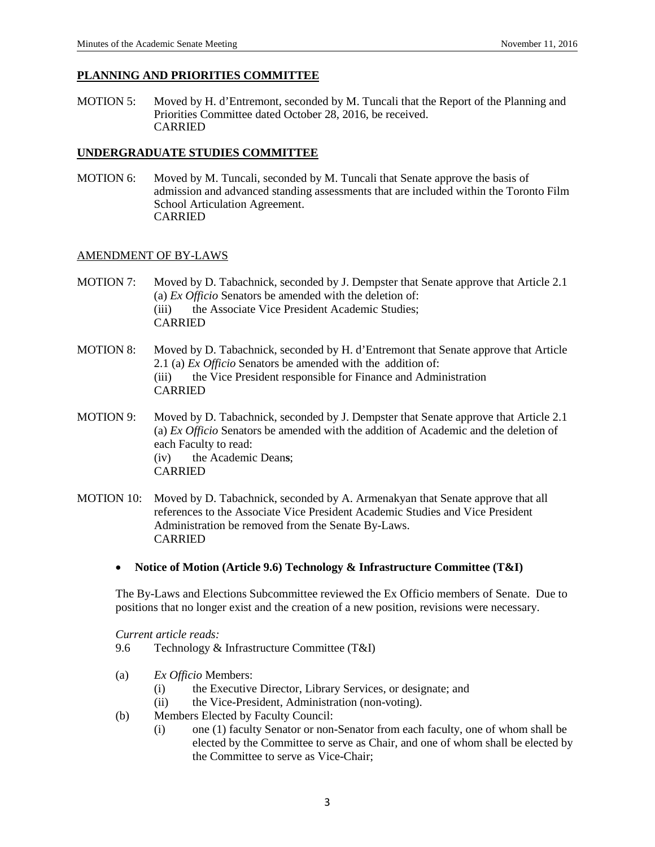### **PLANNING AND PRIORITIES COMMITTEE**

MOTION 5: Moved by H. d'Entremont, seconded by M. Tuncali that the Report of the Planning and Priorities Committee dated October 28, 2016, be received. CARRIED

## **UNDERGRADUATE STUDIES COMMITTEE**

MOTION 6: Moved by M. Tuncali, seconded by M. Tuncali that Senate approve the basis of admission and advanced standing assessments that are included within the Toronto Film School Articulation Agreement. CARRIED

### AMENDMENT OF BY-LAWS

- MOTION 7: Moved by D. Tabachnick, seconded by J. Dempster that Senate approve that Article 2.1 (a) *Ex Officio* Senators be amended with the deletion of: (iii) the Associate Vice President Academic Studies; CARRIED
- MOTION 8: Moved by D. Tabachnick, seconded by H. d'Entremont that Senate approve that Article 2.1 (a) *Ex Officio* Senators be amended with the addition of: (iii) the Vice President responsible for Finance and Administration CARRIED
- MOTION 9: Moved by D. Tabachnick, seconded by J. Dempster that Senate approve that Article 2.1 (a) *Ex Officio* Senators be amended with the addition of Academic and the deletion of each Faculty to read: (iv) the Academic Dean**s**; CARRIED
- MOTION 10: Moved by D. Tabachnick, seconded by A. Armenakyan that Senate approve that all references to the Associate Vice President Academic Studies and Vice President Administration be removed from the Senate By-Laws. CARRIED
	- **Notice of Motion (Article 9.6) Technology & Infrastructure Committee (T&I)**

The By-Laws and Elections Subcommittee reviewed the Ex Officio members of Senate. Due to positions that no longer exist and the creation of a new position, revisions were necessary.

*Current article reads:*

- 9.6 Technology & Infrastructure Committee (T&I)
- (a) *Ex Officio* Members:
	- (i) the Executive Director, Library Services, or designate; and
	- (ii) the Vice-President, Administration (non-voting).
- (b) Members Elected by Faculty Council:
	- (i) one (1) faculty Senator or non-Senator from each faculty, one of whom shall be elected by the Committee to serve as Chair, and one of whom shall be elected by the Committee to serve as Vice-Chair;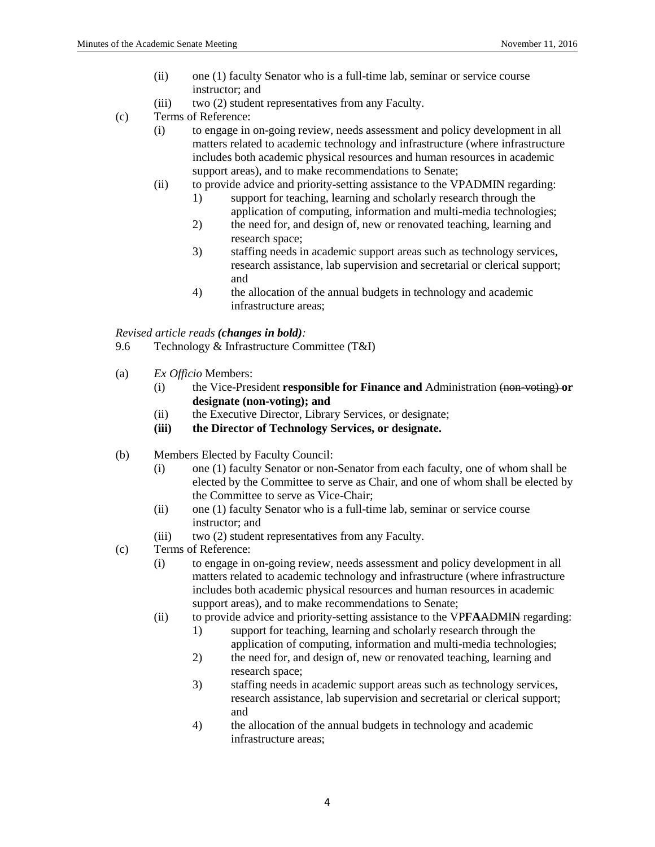- (ii) one (1) faculty Senator who is a full-time lab, seminar or service course instructor; and
- (iii) two (2) student representatives from any Faculty.
- (c) Terms of Reference:
	- (i) to engage in on-going review, needs assessment and policy development in all matters related to academic technology and infrastructure (where infrastructure includes both academic physical resources and human resources in academic support areas), and to make recommendations to Senate;
	- (ii) to provide advice and priority-setting assistance to the VPADMIN regarding:
		- 1) support for teaching, learning and scholarly research through the application of computing, information and multi-media technologies;
		- 2) the need for, and design of, new or renovated teaching, learning and research space;
		- 3) staffing needs in academic support areas such as technology services, research assistance, lab supervision and secretarial or clerical support; and
		- 4) the allocation of the annual budgets in technology and academic infrastructure areas;

# *Revised article reads (changes in bold):*

- 9.6 Technology & Infrastructure Committee (T&I)
- (a) *Ex Officio* Members:
	- (i) the Vice-President **responsible for Finance and** Administration (non-voting) **or designate (non-voting); and**
	- (ii) the Executive Director, Library Services, or designate;
	- **(iii) the Director of Technology Services, or designate.**
- (b) Members Elected by Faculty Council:
	- (i) one (1) faculty Senator or non-Senator from each faculty, one of whom shall be elected by the Committee to serve as Chair, and one of whom shall be elected by the Committee to serve as Vice-Chair;
	- (ii) one (1) faculty Senator who is a full-time lab, seminar or service course instructor; and
	- (iii) two (2) student representatives from any Faculty.
- (c) Terms of Reference:
	- (i) to engage in on-going review, needs assessment and policy development in all matters related to academic technology and infrastructure (where infrastructure includes both academic physical resources and human resources in academic support areas), and to make recommendations to Senate;
	- (ii) to provide advice and priority-setting assistance to the VP**FA**ADMIN regarding:
		- 1) support for teaching, learning and scholarly research through the application of computing, information and multi-media technologies;
		- 2) the need for, and design of, new or renovated teaching, learning and research space;
		- 3) staffing needs in academic support areas such as technology services, research assistance, lab supervision and secretarial or clerical support; and
		- 4) the allocation of the annual budgets in technology and academic infrastructure areas;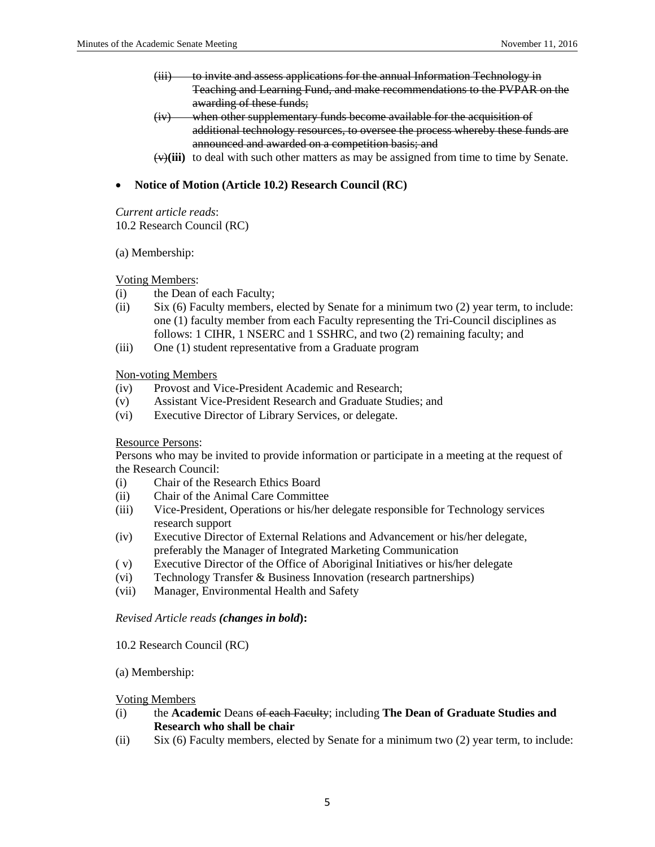- (iii) to invite and assess applications for the annual Information Technology in Teaching and Learning Fund, and make recommendations to the PVPAR on the awarding of these funds;
- (iv) when other supplementary funds become available for the acquisition of additional technology resources, to oversee the process whereby these funds are announced and awarded on a competition basis; and
- $(v)(iii)$  to deal with such other matters as may be assigned from time to time by Senate.

# • **Notice of Motion (Article 10.2) Research Council (RC)**

*Current article reads*: 10.2 Research Council (RC)

### (a) Membership:

## Voting Members:

- (i) the Dean of each Faculty;
- (ii) Six (6) Faculty members, elected by Senate for a minimum two (2) year term, to include: one (1) faculty member from each Faculty representing the Tri-Council disciplines as follows: 1 CIHR, 1 NSERC and 1 SSHRC, and two (2) remaining faculty; and
- (iii) One (1) student representative from a Graduate program

## Non-voting Members

- (iv) Provost and Vice-President Academic and Research;
- (v) Assistant Vice-President Research and Graduate Studies; and
- (vi) Executive Director of Library Services, or delegate.

## Resource Persons:

Persons who may be invited to provide information or participate in a meeting at the request of the Research Council:

- (i) Chair of the Research Ethics Board
- (ii) Chair of the Animal Care Committee
- (iii) Vice-President, Operations or his/her delegate responsible for Technology services research support
- (iv) Executive Director of External Relations and Advancement or his/her delegate, preferably the Manager of Integrated Marketing Communication
- ( v) Executive Director of the Office of Aboriginal Initiatives or his/her delegate
- (vi) Technology Transfer & Business Innovation (research partnerships)
- (vii) Manager, Environmental Health and Safety

#### *Revised Article reads (changes in bold***):**

#### 10.2 Research Council (RC)

## (a) Membership:

#### Voting Members

- (i) the **Academic** Deans of each Faculty; including **The Dean of Graduate Studies and Research who shall be chair**
- (ii) Six (6) Faculty members, elected by Senate for a minimum two (2) year term, to include: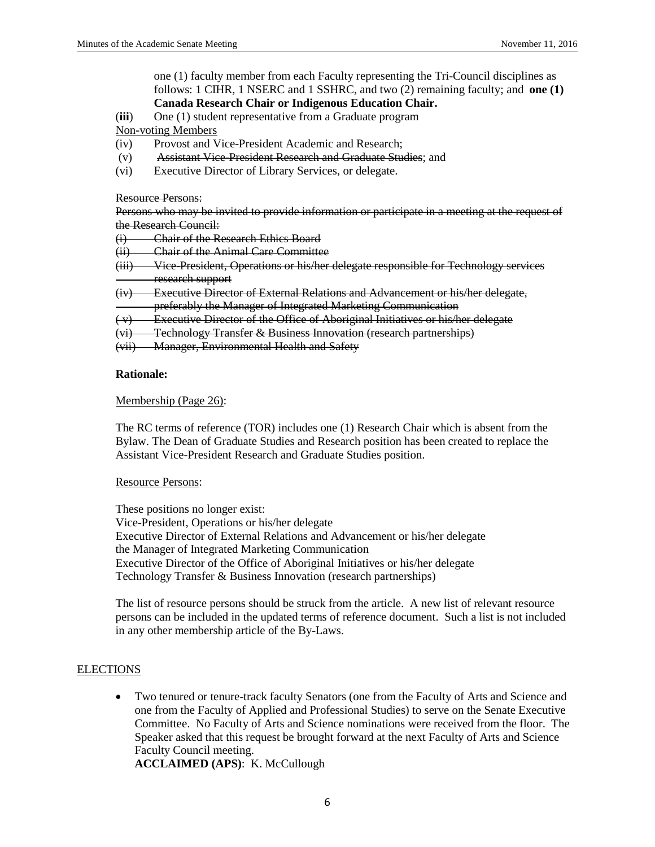one (1) faculty member from each Faculty representing the Tri-Council disciplines as follows: 1 CIHR, 1 NSERC and 1 SSHRC, and two (2) remaining faculty; and **one (1)** 

# **Canada Research Chair or Indigenous Education Chair.**

(**iii**) One (1) student representative from a Graduate program

Non-voting Members

- (iv) Provost and Vice-President Academic and Research;
- (v) Assistant Vice-President Research and Graduate Studies; and
- (vi) Executive Director of Library Services, or delegate.

### Resource Persons:

Persons who may be invited to provide information or participate in a meeting at the request of the Research Council:

- (i) Chair of the Research Ethics Board
- (ii) Chair of the Animal Care Committee
- (iii) Vice-President, Operations or his/her delegate responsible for Technology services research support
- (iv) Executive Director of External Relations and Advancement or his/her delegate,
- preferably the Manager of Integrated Marketing Communication
- ( v) Executive Director of the Office of Aboriginal Initiatives or his/her delegate
- (vi) Technology Transfer & Business Innovation (research partnerships)
- (vii) Manager, Environmental Health and Safety

## **Rationale:**

### Membership (Page 26):

The RC terms of reference (TOR) includes one (1) Research Chair which is absent from the Bylaw. The Dean of Graduate Studies and Research position has been created to replace the Assistant Vice-President Research and Graduate Studies position.

## Resource Persons:

These positions no longer exist: Vice-President, Operations or his/her delegate Executive Director of External Relations and Advancement or his/her delegate the Manager of Integrated Marketing Communication Executive Director of the Office of Aboriginal Initiatives or his/her delegate Technology Transfer & Business Innovation (research partnerships)

The list of resource persons should be struck from the article. A new list of relevant resource persons can be included in the updated terms of reference document. Such a list is not included in any other membership article of the By-Laws.

## **ELECTIONS**

• Two tenured or tenure-track faculty Senators (one from the Faculty of Arts and Science and one from the Faculty of Applied and Professional Studies) to serve on the Senate Executive Committee. No Faculty of Arts and Science nominations were received from the floor. The Speaker asked that this request be brought forward at the next Faculty of Arts and Science Faculty Council meeting.

**ACCLAIMED (APS)**: K. McCullough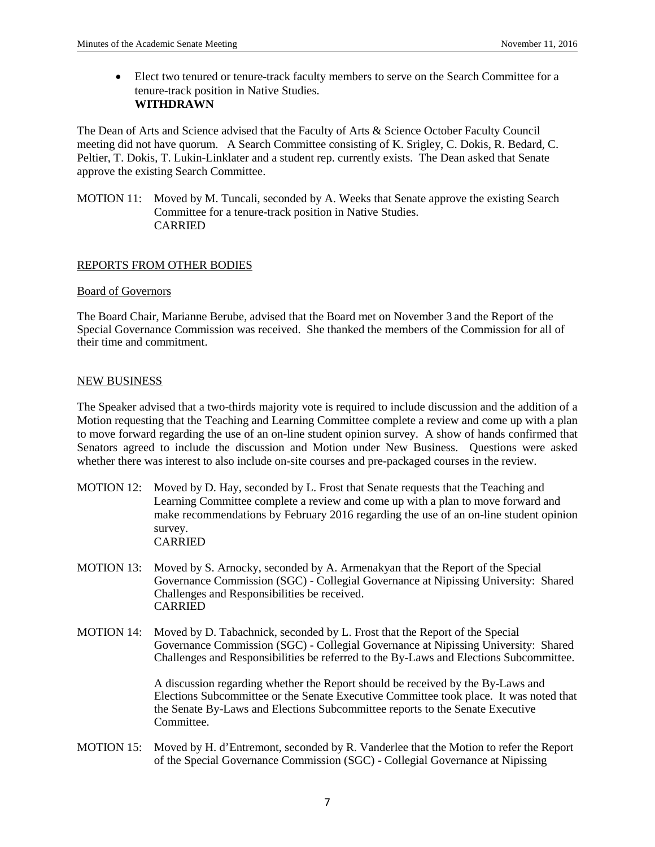• Elect two tenured or tenure-track faculty members to serve on the Search Committee for a tenure-track position in Native Studies. **WITHDRAWN**

The Dean of Arts and Science advised that the Faculty of Arts & Science October Faculty Council meeting did not have quorum. A Search Committee consisting of K. Srigley, C. Dokis, R. Bedard, C. Peltier, T. Dokis, T. Lukin-Linklater and a student rep. currently exists. The Dean asked that Senate approve the existing Search Committee.

MOTION 11: Moved by M. Tuncali, seconded by A. Weeks that Senate approve the existing Search Committee for a tenure-track position in Native Studies. CARRIED

## REPORTS FROM OTHER BODIES

#### Board of Governors

The Board Chair, Marianne Berube, advised that the Board met on November 3 and the Report of the Special Governance Commission was received. She thanked the members of the Commission for all of their time and commitment.

#### NEW BUSINESS

The Speaker advised that a two-thirds majority vote is required to include discussion and the addition of a Motion requesting that the Teaching and Learning Committee complete a review and come up with a plan to move forward regarding the use of an on-line student opinion survey. A show of hands confirmed that Senators agreed to include the discussion and Motion under New Business. Questions were asked whether there was interest to also include on-site courses and pre-packaged courses in the review.

- MOTION 12: Moved by D. Hay, seconded by L. Frost that Senate requests that the Teaching and Learning Committee complete a review and come up with a plan to move forward and make recommendations by February 2016 regarding the use of an on-line student opinion survey. CARRIED
- MOTION 13: Moved by S. Arnocky, seconded by A. Armenakyan that the Report of the Special Governance Commission (SGC) - Collegial Governance at Nipissing University: Shared Challenges and Responsibilities be received. CARRIED
- MOTION 14: Moved by D. Tabachnick, seconded by L. Frost that the Report of the Special Governance Commission (SGC) - Collegial Governance at Nipissing University: Shared Challenges and Responsibilities be referred to the By-Laws and Elections Subcommittee.

A discussion regarding whether the Report should be received by the By-Laws and Elections Subcommittee or the Senate Executive Committee took place. It was noted that the Senate By-Laws and Elections Subcommittee reports to the Senate Executive Committee.

MOTION 15: Moved by H. d'Entremont, seconded by R. Vanderlee that the Motion to refer the Report of the Special Governance Commission (SGC) - Collegial Governance at Nipissing